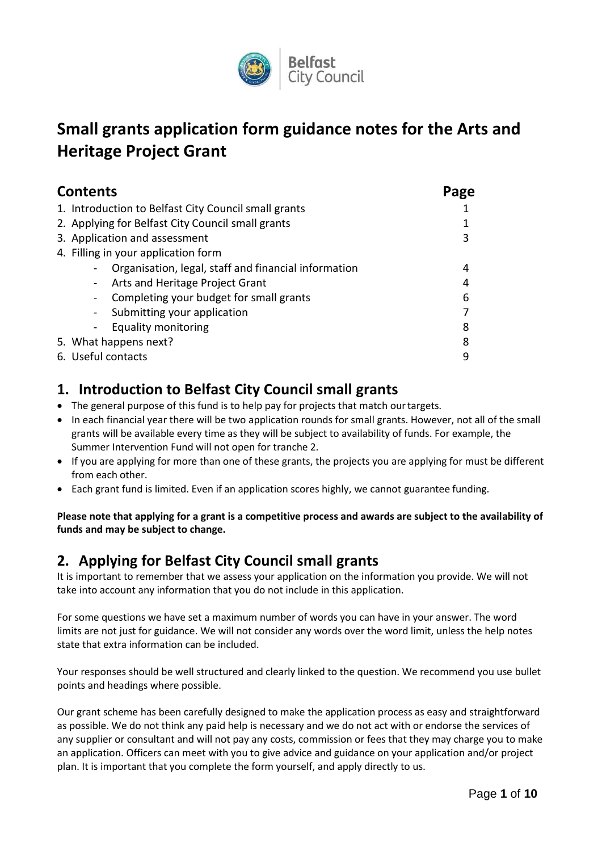

# **Small grants application form guidance notes for the Arts and Heritage Project Grant**

| <b>Contents</b>                                      | Page |
|------------------------------------------------------|------|
| 1. Introduction to Belfast City Council small grants |      |
| 2. Applying for Belfast City Council small grants    |      |
| 3. Application and assessment                        | 3    |
| 4. Filling in your application form                  |      |
| Organisation, legal, staff and financial information | 4    |
| Arts and Heritage Project Grant<br>$\blacksquare$    | 4    |
| Completing your budget for small grants              | 6    |
| Submitting your application<br>$\blacksquare$        |      |
| Equality monitoring                                  | 8    |
| 5. What happens next?                                | 8    |
| 6. Useful contacts                                   | q    |

## <span id="page-0-0"></span>**1. Introduction to Belfast City Council small grants**

- The general purpose of this fund is to help pay for projects that match our targets.
- In each financial year there will be two application rounds for small grants. However, not all of the small grants will be available every time as they will be subject to availability of funds. For example, the Summer Intervention Fund will not open for tranche 2.
- If you are applying for more than one of these grants, the projects you are applying for must be different from each other.
- Each grant fund is limited. Even if an application scores highly, we cannot guarantee funding.

**Please note that applying for a grant is a competitive process and awards are subject to the availability of funds and may be subject to change.**

## <span id="page-0-1"></span>**2. Applying for Belfast City Council small grants**

It is important to remember that we assess your application on the information you provide. We will not take into account any information that you do not include in this application.

For some questions we have set a maximum number of words you can have in your answer. The word limits are not just for guidance. We will not consider any words over the word limit, unless the help notes state that extra information can be included.

Your responses should be well structured and clearly linked to the question. We recommend you use bullet points and headings where possible.

Our grant scheme has been carefully designed to make the application process as easy and straightforward as possible. We do not think any paid help is necessary and we do not act with or endorse the services of any supplier or consultant and will not pay any costs, commission or fees that they may charge you to make an application. Officers can meet with you to give advice and guidance on your application and/or project plan. It is important that you complete the form yourself, and apply directly to us.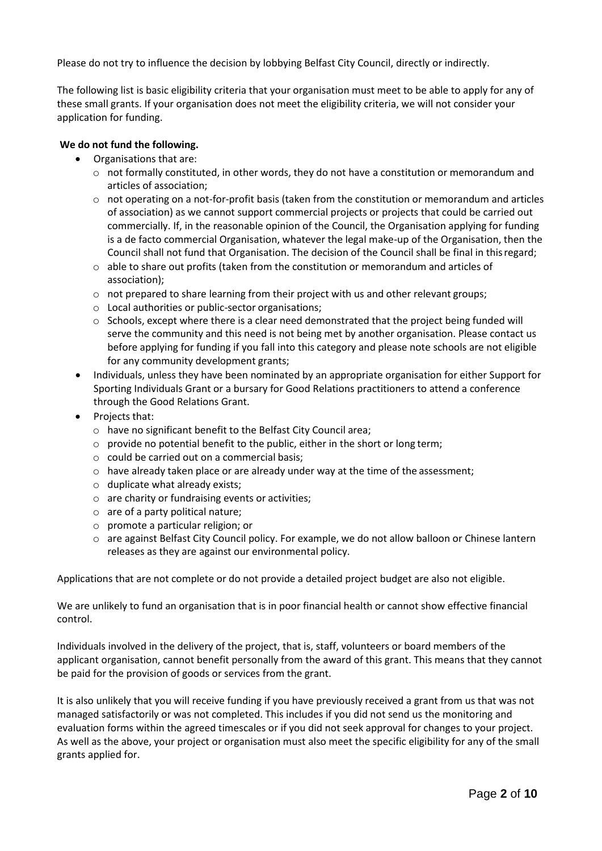Please do not try to influence the decision by lobbying Belfast City Council, directly or indirectly.

The following list is basic eligibility criteria that your organisation must meet to be able to apply for any of these small grants. If your organisation does not meet the eligibility criteria, we will not consider your application for funding.

#### **We do not fund the following.**

- Organisations that are:
	- $\circ$  not formally constituted, in other words, they do not have a constitution or memorandum and articles of association;
	- $\circ$  not operating on a not-for-profit basis (taken from the constitution or memorandum and articles of association) as we cannot support commercial projects or projects that could be carried out commercially. If, in the reasonable opinion of the Council, the Organisation applying for funding is a de facto commercial Organisation, whatever the legal make-up of the Organisation, then the Council shall not fund that Organisation. The decision of the Council shall be final in thisregard;
	- $\circ$  able to share out profits (taken from the constitution or memorandum and articles of association);
	- $\circ$  not prepared to share learning from their project with us and other relevant groups;
	- o Local authorities or public-sector organisations;
	- $\circ$  Schools, except where there is a clear need demonstrated that the project being funded will serve the community and this need is not being met by another organisation. Please contact us before applying for funding if you fall into this category and please note schools are not eligible for any community development grants;
- Individuals, unless they have been nominated by an appropriate organisation for either Support for Sporting Individuals Grant or a bursary for Good Relations practitioners to attend a conference through the Good Relations Grant.
- Projects that:
	- o have no significant benefit to the Belfast City Council area;
	- o provide no potential benefit to the public, either in the short or long term;
	- o could be carried out on a commercial basis;
	- $\circ$  have already taken place or are already under way at the time of the assessment;
	- $\circ$  duplicate what already exists;
	- o are charity or fundraising events or activities;
	- o are of a party political nature;
	- o promote a particular religion; or
	- o are against Belfast City Council policy. For example, we do not allow balloon or Chinese lantern releases as they are against our environmental policy.

Applications that are not complete or do not provide a detailed project budget are also not eligible.

We are unlikely to fund an organisation that is in poor financial health or cannot show effective financial control.

Individuals involved in the delivery of the project, that is, staff, volunteers or board members of the applicant organisation, cannot benefit personally from the award of this grant. This means that they cannot be paid for the provision of goods or services from the grant.

It is also unlikely that you will receive funding if you have previously received a grant from us that was not managed satisfactorily or was not completed. This includes if you did not send us the monitoring and evaluation forms within the agreed timescales or if you did not seek approval for changes to your project. As well as the above, your project or organisation must also meet the specific eligibility for any of the small grants applied for.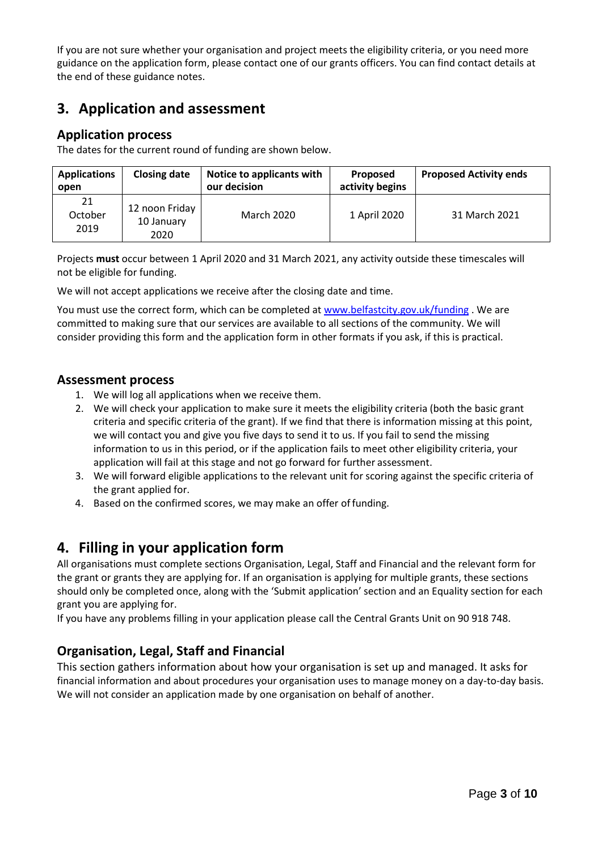If you are not sure whether your organisation and project meets the eligibility criteria, or you need more guidance on the application form, please contact one of our grants officers. You can find contact details at the end of these guidance notes.

## <span id="page-2-0"></span>**3. Application and assessment**

### **Application process**

The dates for the current round of funding are shown below.

| <b>Applications</b><br>open | <b>Closing date</b>                  | Notice to applicants with<br>our decision | Proposed<br>activity begins | <b>Proposed Activity ends</b> |
|-----------------------------|--------------------------------------|-------------------------------------------|-----------------------------|-------------------------------|
| 21<br>October<br>2019       | 12 noon Friday<br>10 January<br>2020 | <b>March 2020</b>                         | 1 April 2020                | 31 March 2021                 |

Projects **must** occur between 1 April 2020 and 31 March 2021, any activity outside these timescales will not be eligible for funding.

We will not accept applications we receive after the closing date and time.

You must use the correct form, which can be completed at [www.belfastcity.gov.uk/funding](http://www.belfastcity.gov.uk/funding) . We are committed to making sure that our services are available to all sections of the community. We will consider providing this form and the application form in other formats if you ask, if this is practical.

### **Assessment process**

- 1. We will log all applications when we receive them.
- 2. We will check your application to make sure it meets the eligibility criteria (both the basic grant criteria and specific criteria of the grant). If we find that there is information missing at this point, we will contact you and give you five days to send it to us. If you fail to send the missing information to us in this period, or if the application fails to meet other eligibility criteria, your application will fail at this stage and not go forward for further assessment.
- 3. We will forward eligible applications to the relevant unit for scoring against the specific criteria of the grant applied for.
- 4. Based on the confirmed scores, we may make an offer of funding.

## <span id="page-2-1"></span>**4. Filling in your application form**

All organisations must complete sections Organisation, Legal, Staff and Financial and the relevant form for the grant or grants they are applying for. If an organisation is applying for multiple grants, these sections should only be completed once, along with the 'Submit application' section and an Equality section for each grant you are applying for.

If you have any problems filling in your application please call the Central Grants Unit on 90 918 748.

### **Organisation, Legal, Staff and Financial**

This section gathers information about how your organisation is set up and managed. It asks for financial information and about procedures your organisation uses to manage money on a day-to-day basis. We will not consider an application made by one organisation on behalf of another.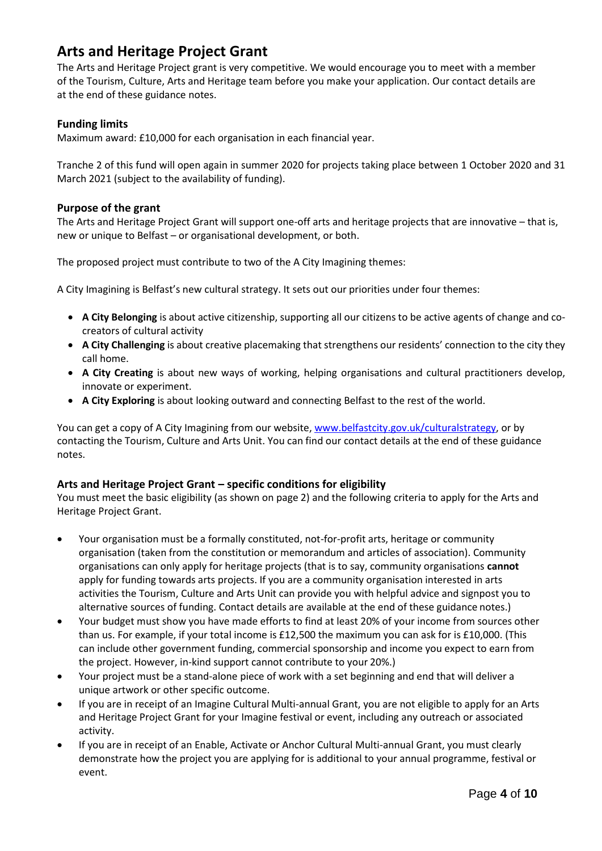## <span id="page-3-0"></span>**Arts and Heritage Project Grant**

The Arts and Heritage Project grant is very competitive. We would encourage you to meet with a member of the Tourism, Culture, Arts and Heritage team before you make your application. Our contact details are at the end of these guidance notes.

### **Funding limits**

Maximum award: £10,000 for each organisation in each financial year.

Tranche 2 of this fund will open again in summer 2020 for projects taking place between 1 October 2020 and 31 March 2021 (subject to the availability of funding).

#### **Purpose of the grant**

The Arts and Heritage Project Grant will support one-off arts and heritage projects that are innovative – that is, new or unique to Belfast – or organisational development, or both.

The proposed project must contribute to two of the A City Imagining themes:

A City Imagining is Belfast's new cultural strategy. It sets out our priorities under four themes:

- **A City Belonging** is about active citizenship, supporting all our citizens to be active agents of change and cocreators of cultural activity
- **A City Challenging** is about creative placemaking that strengthens our residents' connection to the city they call home.
- **A City Creating** is about new ways of working, helping organisations and cultural practitioners develop, innovate or experiment.
- **A City Exploring** is about looking outward and connecting Belfast to the rest of the world.

You can get a copy of A City Imagining from our website, [www.belfastcity.gov.uk/culturalstrategy,](http://www.belfastcity.gov.uk/culturalstrategy) or by contacting the Tourism, Culture and Arts Unit. You can find our contact details at the end of these guidance notes.

### **Arts and Heritage Project Grant – specific conditions for eligibility**

You must meet the basic eligibility (as shown on page 2) and the following criteria to apply for the Arts and Heritage Project Grant.

- Your organisation must be a formally constituted, not-for-profit arts, heritage or community organisation (taken from the constitution or memorandum and articles of association). Community organisations can only apply for heritage projects (that is to say, community organisations **cannot**  apply for funding towards arts projects. If you are a community organisation interested in arts activities the Tourism, Culture and Arts Unit can provide you with helpful advice and signpost you to alternative sources of funding. Contact details are available at the end of these guidance notes.)
- Your budget must show you have made efforts to find at least 20% of your income from sources other than us. For example, if your total income is £12,500 the maximum you can ask for is £10,000. (This can include other government funding, commercial sponsorship and income you expect to earn from the project. However, in-kind support cannot contribute to your 20%.)
- Your project must be a stand-alone piece of work with a set beginning and end that will deliver a unique artwork or other specific outcome.
- If you are in receipt of an Imagine Cultural Multi-annual Grant, you are not eligible to apply for an Arts and Heritage Project Grant for your Imagine festival or event, including any outreach or associated activity.
- If you are in receipt of an Enable, Activate or Anchor Cultural Multi-annual Grant, you must clearly demonstrate how the project you are applying for is additional to your annual programme, festival or event.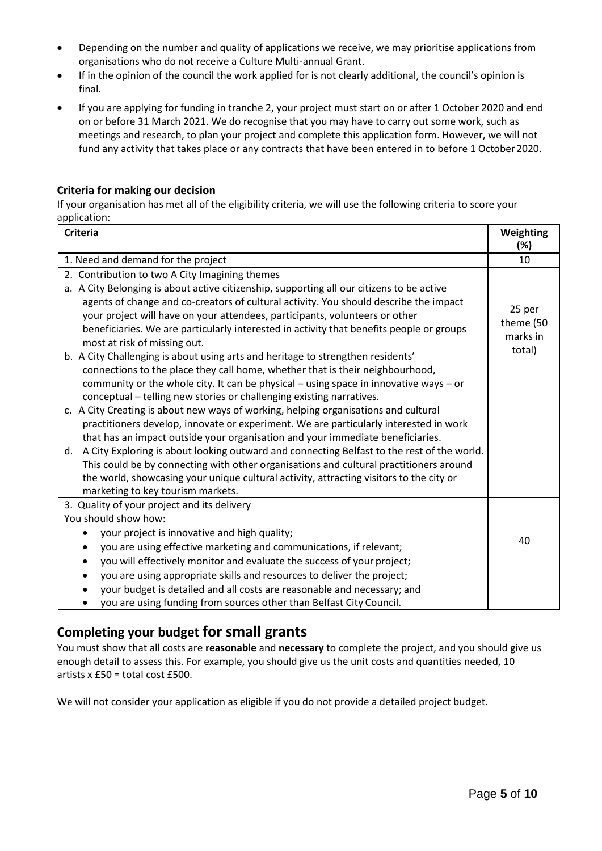- Depending on the number and quality of applications we receive, we may prioritise applications from organisations who do not receive a Culture Multi-annual Grant.
- If in the opinion of the council the work applied for is not clearly additional, the council's opinion is final.
- If you are applying for funding in tranche 2, your project must start on or after 1 October 2020 and end on or before 31 March 2021. We do recognise that you may have to carry out some work, such as meetings and research, to plan your project and complete this application form. However, we will not fund any activity that takes place or any contracts that have been entered in to before 1 October2020.

#### **Criteria for making our decision**

If your organisation has met all of the eligibility criteria, we will use the following criteria to score your application:

| <b>Criteria</b>                                                                                                                                                                                                                                                                                                                                                                                                                                                                                                                                                                                                                                                                                                                                                                                                                                                                                                                                                                                                                                                                                                                                                                                                                                                                                                                                                                          | Weighting<br>(%)                          |
|------------------------------------------------------------------------------------------------------------------------------------------------------------------------------------------------------------------------------------------------------------------------------------------------------------------------------------------------------------------------------------------------------------------------------------------------------------------------------------------------------------------------------------------------------------------------------------------------------------------------------------------------------------------------------------------------------------------------------------------------------------------------------------------------------------------------------------------------------------------------------------------------------------------------------------------------------------------------------------------------------------------------------------------------------------------------------------------------------------------------------------------------------------------------------------------------------------------------------------------------------------------------------------------------------------------------------------------------------------------------------------------|-------------------------------------------|
| 1. Need and demand for the project                                                                                                                                                                                                                                                                                                                                                                                                                                                                                                                                                                                                                                                                                                                                                                                                                                                                                                                                                                                                                                                                                                                                                                                                                                                                                                                                                       | 10                                        |
| 2. Contribution to two A City Imagining themes<br>a. A City Belonging is about active citizenship, supporting all our citizens to be active<br>agents of change and co-creators of cultural activity. You should describe the impact<br>your project will have on your attendees, participants, volunteers or other<br>beneficiaries. We are particularly interested in activity that benefits people or groups<br>most at risk of missing out.<br>b. A City Challenging is about using arts and heritage to strengthen residents'<br>connections to the place they call home, whether that is their neighbourhood,<br>community or the whole city. It can be physical $-$ using space in innovative ways $-$ or<br>conceptual – telling new stories or challenging existing narratives.<br>c. A City Creating is about new ways of working, helping organisations and cultural<br>practitioners develop, innovate or experiment. We are particularly interested in work<br>that has an impact outside your organisation and your immediate beneficiaries.<br>A City Exploring is about looking outward and connecting Belfast to the rest of the world.<br>d.<br>This could be by connecting with other organisations and cultural practitioners around<br>the world, showcasing your unique cultural activity, attracting visitors to the city or<br>marketing to key tourism markets. | 25 per<br>theme (50<br>marks in<br>total) |
| 3. Quality of your project and its delivery<br>You should show how:<br>your project is innovative and high quality;<br>you are using effective marketing and communications, if relevant;<br>٠<br>you will effectively monitor and evaluate the success of your project;<br>you are using appropriate skills and resources to deliver the project;<br>your budget is detailed and all costs are reasonable and necessary; and<br>you are using funding from sources other than Belfast City Council.                                                                                                                                                                                                                                                                                                                                                                                                                                                                                                                                                                                                                                                                                                                                                                                                                                                                                     | 40                                        |

### **Completing your budget for small grants**

You must show that all costs are **reasonable** and **necessary** to complete the project, and you should give us enough detail to assess this. For example, you should give us the unit costs and quantities needed, 10 artists x £50 = total cost £500.

We will not consider your application as eligible if you do not provide a detailed project budget.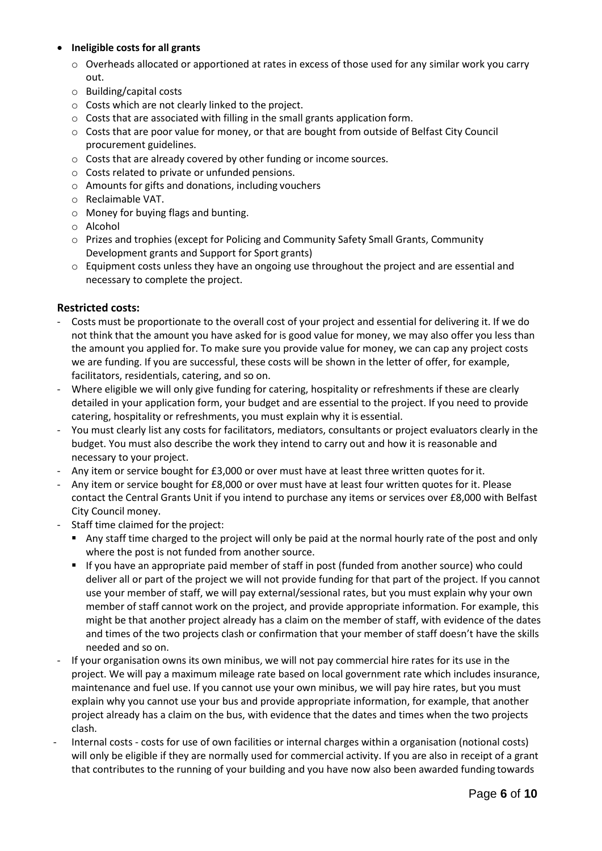### **Ineligible costs for all grants**

- $\circ$  Overheads allocated or apportioned at rates in excess of those used for any similar work you carry out.
- o Building/capital costs
- o Costs which are not clearly linked to the project.
- o Costs that are associated with filling in the small grants application form.
- $\circ$  Costs that are poor value for money, or that are bought from outside of Belfast City Council procurement guidelines.
- o Costs that are already covered by other funding or income sources.
- o Costs related to private or unfunded pensions.
- o Amounts for gifts and donations, including vouchers
- o Reclaimable VAT.
- o Money for buying flags and bunting.
- o Alcohol
- o Prizes and trophies (except for Policing and Community Safety Small Grants, Community Development grants and Support for Sport grants)
- $\circ$  Equipment costs unless they have an ongoing use throughout the project and are essential and necessary to complete the project.

#### **Restricted costs:**

- Costs must be proportionate to the overall cost of your project and essential for delivering it. If we do not think that the amount you have asked for is good value for money, we may also offer you less than the amount you applied for. To make sure you provide value for money, we can cap any project costs we are funding. If you are successful, these costs will be shown in the letter of offer, for example, facilitators, residentials, catering, and so on.
- Where eligible we will only give funding for catering, hospitality or refreshments if these are clearly detailed in your application form, your budget and are essential to the project. If you need to provide catering, hospitality or refreshments, you must explain why it is essential.
- You must clearly list any costs for facilitators, mediators, consultants or project evaluators clearly in the budget. You must also describe the work they intend to carry out and how it is reasonable and necessary to your project.
- Any item or service bought for £3,000 or over must have at least three written quotes forit.
- Any item or service bought for £8,000 or over must have at least four written quotes for it. Please contact the Central Grants Unit if you intend to purchase any items or services over £8,000 with Belfast City Council money.
- Staff time claimed for the project:
	- Any staff time charged to the project will only be paid at the normal hourly rate of the post and only where the post is not funded from another source.
	- If you have an appropriate paid member of staff in post (funded from another source) who could deliver all or part of the project we will not provide funding for that part of the project. If you cannot use your member of staff, we will pay external/sessional rates, but you must explain why your own member of staff cannot work on the project, and provide appropriate information. For example, this might be that another project already has a claim on the member of staff, with evidence of the dates and times of the two projects clash or confirmation that your member of staff doesn't have the skills needed and so on.
- If your organisation owns its own minibus, we will not pay commercial hire rates for its use in the project. We will pay a maximum mileage rate based on local government rate which includes insurance, maintenance and fuel use. If you cannot use your own minibus, we will pay hire rates, but you must explain why you cannot use your bus and provide appropriate information, for example, that another project already has a claim on the bus, with evidence that the dates and times when the two projects clash.
- Internal costs costs for use of own facilities or internal charges within a organisation (notional costs) will only be eligible if they are normally used for commercial activity. If you are also in receipt of a grant that contributes to the running of your building and you have now also been awarded funding towards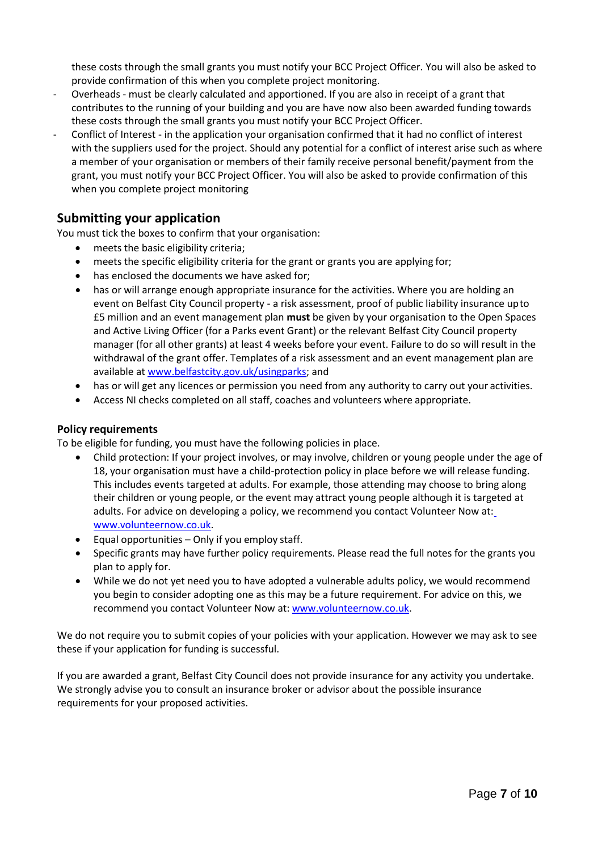these costs through the small grants you must notify your BCC Project Officer. You will also be asked to provide confirmation of this when you complete project monitoring.

- Overheads must be clearly calculated and apportioned. If you are also in receipt of a grant that contributes to the running of your building and you are have now also been awarded funding towards these costs through the small grants you must notify your BCC Project Officer.
- Conflict of Interest in the application your organisation confirmed that it had no conflict of interest with the suppliers used for the project. Should any potential for a conflict of interest arise such as where a member of your organisation or members of their family receive personal benefit/payment from the grant, you must notify your BCC Project Officer. You will also be asked to provide confirmation of this when you complete project monitoring

### <span id="page-6-0"></span>**Submitting your application**

You must tick the boxes to confirm that your organisation:

- meets the basic eligibility criteria;
- meets the specific eligibility criteria for the grant or grants you are applying for;
- has enclosed the documents we have asked for;
- has or will arrange enough appropriate insurance for the activities. Where you are holding an event on Belfast City Council property - a risk assessment, proof of public liability insurance upto £5 million and an event management plan **must** be given by your organisation to the Open Spaces and Active Living Officer (for a Parks event Grant) or the relevant Belfast City Council property manager (for all other grants) at least 4 weeks before your event. Failure to do so will result in the withdrawal of the grant offer. Templates of a risk assessment and an event management plan are available at [www.belfastcity.gov.uk/usingparks;](http://www.belfastcity.gov.uk/usingparks) and
- has or will get any licences or permission you need from any authority to carry out your activities.
- Access NI checks completed on all staff, coaches and volunteers where appropriate.

#### **Policy requirements**

To be eligible for funding, you must have the following policies in place.

- Child protection: If your project involves, or may involve, children or young people under the age of 18, your organisation must have a child-protection policy in place before we will release funding. This includes events targeted at adults. For example, those attending may choose to bring along their children or young people, or the event may attract young people although it is targeted at adults. For advice on developing a policy, we recommend you contact Volunteer Now at: [www.volunteernow.co.uk.](http://www.volunteernow.co.uk/)
- Equal opportunities Only if you employ staff.
- Specific grants may have further policy requirements. Please read the full notes for the grants you plan to apply for.
- While we do not yet need you to have adopted a vulnerable adults policy, we would recommend you begin to consider adopting one as this may be a future requirement. For advice on this, we recommend you contact Volunteer Now at: [www.volunteernow.co.uk.](http://www.volunteernow.co.uk/)

We do not require you to submit copies of your policies with your application. However we may ask to see these if your application for funding is successful.

If you are awarded a grant, Belfast City Council does not provide insurance for any activity you undertake. We strongly advise you to consult an insurance broker or advisor about the possible insurance requirements for your proposed activities.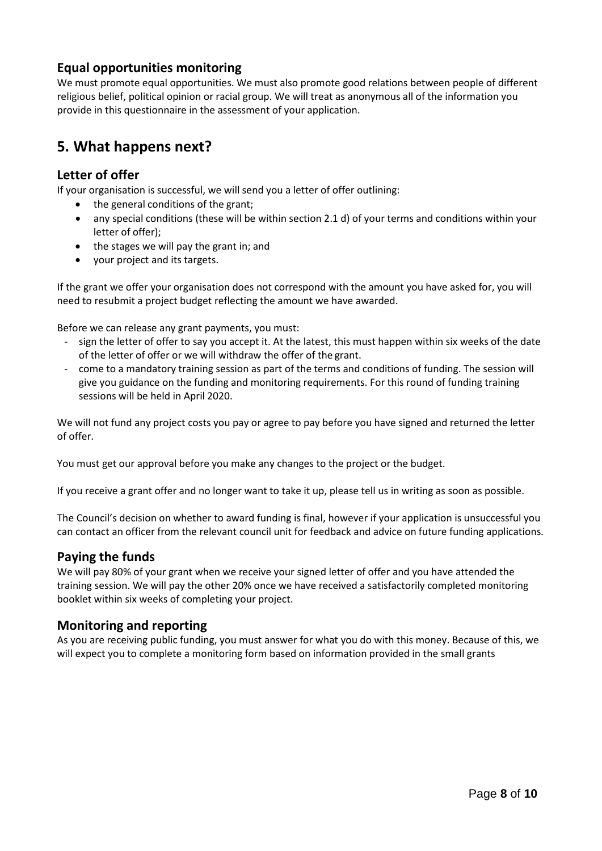### **Equal opportunities monitoring**

We must promote equal opportunities. We must also promote good relations between people of different religious belief, political opinion or racial group. We will treat as anonymous all of the information you provide in this questionnaire in the assessment of your application.

## <span id="page-7-0"></span>**5. What happens next?**

### **Letter of offer**

If your organisation is successful, we will send you a letter of offer outlining:

- $\bullet$  the general conditions of the grant;
- any special conditions (these will be within section 2.1 d) of your terms and conditions within your letter of offer);
- the stages we will pay the grant in; and
- your project and its targets.

If the grant we offer your organisation does not correspond with the amount you have asked for, you will need to resubmit a project budget reflecting the amount we have awarded.

Before we can release any grant payments, you must:

- sign the letter of offer to say you accept it. At the latest, this must happen within six weeks of the date of the letter of offer or we will withdraw the offer of the grant.
- come to a mandatory training session as part of the terms and conditions of funding. The session will give you guidance on the funding and monitoring requirements. For this round of funding training sessions will be held in April 2020.

We will not fund any project costs you pay or agree to pay before you have signed and returned the letter of offer.

You must get our approval before you make any changes to the project or the budget.

If you receive a grant offer and no longer want to take it up, please tell us in writing as soon as possible.

The Council's decision on whether to award funding is final, however if your application is unsuccessful you can contact an officer from the relevant council unit for feedback and advice on future funding applications.

### **Paying the funds**

We will pay 80% of your grant when we receive your signed letter of offer and you have attended the training session. We will pay the other 20% once we have received a satisfactorily completed monitoring booklet within six weeks of completing your project.

### **Monitoring and reporting**

As you are receiving public funding, you must answer for what you do with this money. Because of this, we will expect you to complete a monitoring form based on information provided in the small grants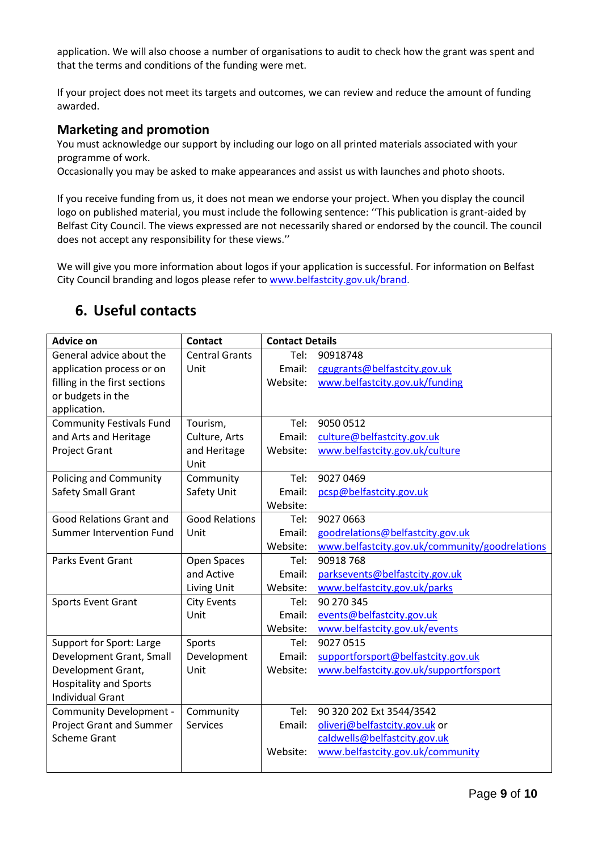application. We will also choose a number of organisations to audit to check how the grant was spent and that the terms and conditions of the funding were met.

If your project does not meet its targets and outcomes, we can review and reduce the amount of funding awarded.

### **Marketing and promotion**

You must acknowledge our support by including our logo on all printed materials associated with your programme of work.

Occasionally you may be asked to make appearances and assist us with launches and photo shoots.

If you receive funding from us, it does not mean we endorse your project. When you display the council logo on published material, you must include the following sentence: ''This publication is grant-aided by Belfast City Council. The views expressed are not necessarily shared or endorsed by the council. The council does not accept any responsibility for these views.''

We will give you more information about logos if your application is successful. For information on Belfast City Council branding and logos please refer to [www.belfastcity.gov.uk/brand.](http://www.belfastcity.gov.uk/brand)

| <b>Advice on</b>                | <b>Contact</b>        | <b>Contact Details</b> |                                                |
|---------------------------------|-----------------------|------------------------|------------------------------------------------|
| General advice about the        | <b>Central Grants</b> | Tel:                   | 90918748                                       |
| application process or on       | Unit                  | Email:                 | cgugrants@belfastcity.gov.uk                   |
| filling in the first sections   |                       | Website:               | www.belfastcity.gov.uk/funding                 |
| or budgets in the               |                       |                        |                                                |
| application.                    |                       |                        |                                                |
| <b>Community Festivals Fund</b> | Tourism,              | Tel:                   | 9050 0512                                      |
| and Arts and Heritage           | Culture, Arts         | Email:                 | culture@belfastcity.gov.uk                     |
| Project Grant                   | and Heritage          | Website:               | www.belfastcity.gov.uk/culture                 |
|                                 | Unit                  |                        |                                                |
| <b>Policing and Community</b>   | Community             | Tel:                   | 9027 0469                                      |
| Safety Small Grant              | Safety Unit           | Email:                 | pcsp@belfastcity.gov.uk                        |
|                                 |                       | Website:               |                                                |
| <b>Good Relations Grant and</b> | <b>Good Relations</b> | Tel:                   | 9027 0663                                      |
| <b>Summer Intervention Fund</b> | Unit                  | Email:                 | goodrelations@belfastcity.gov.uk               |
|                                 |                       | Website:               | www.belfastcity.gov.uk/community/goodrelations |
| <b>Parks Event Grant</b>        | Open Spaces           | Tel:                   | 90918768                                       |
|                                 | and Active            | Email:                 | parksevents@belfastcity.gov.uk                 |
|                                 | Living Unit           | Website:               | www.belfastcity.gov.uk/parks                   |
| Sports Event Grant              | <b>City Events</b>    | Tel:                   | 90 270 345                                     |
|                                 | Unit                  | Email:                 | events@belfastcity.gov.uk                      |
|                                 |                       | Website:               | www.belfastcity.gov.uk/events                  |
| Support for Sport: Large        | Sports                | Tel:                   | 9027 0515                                      |
| Development Grant, Small        | Development           | Email:                 | supportforsport@belfastcity.gov.uk             |
| Development Grant,              | Unit                  | Website:               | www.belfastcity.gov.uk/supportforsport         |
| <b>Hospitality and Sports</b>   |                       |                        |                                                |
| <b>Individual Grant</b>         |                       |                        |                                                |
| <b>Community Development -</b>  | Community             | Tel:                   | 90 320 202 Ext 3544/3542                       |
| <b>Project Grant and Summer</b> | Services              | Email:                 | oliverj@belfastcity.gov.uk or                  |
| <b>Scheme Grant</b>             |                       |                        | caldwells@belfastcity.gov.uk                   |
|                                 |                       | Website:               | www.belfastcity.gov.uk/community               |
|                                 |                       |                        |                                                |

## <span id="page-8-0"></span>**6. Useful contacts**